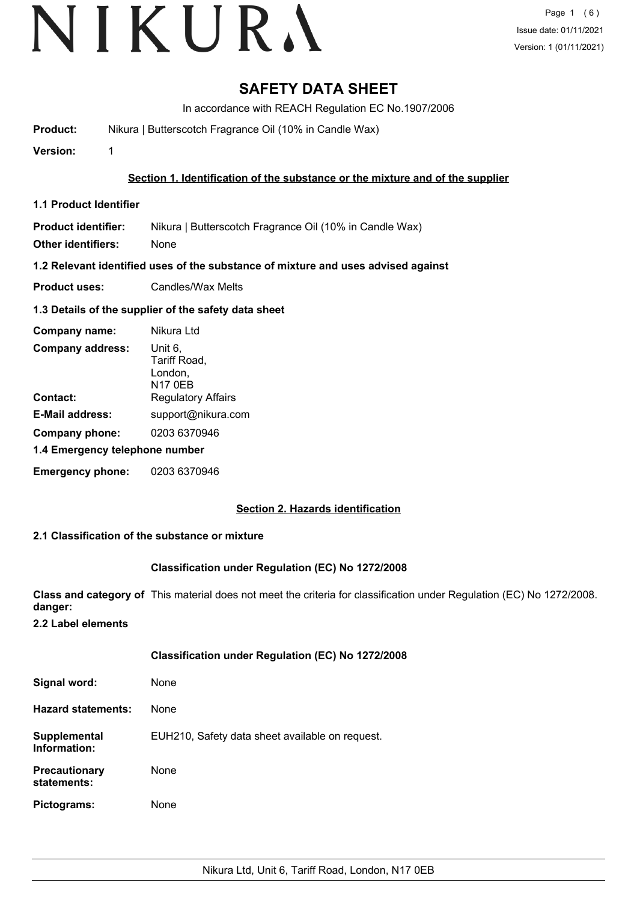# **SAFETY DATA SHEET**

In accordance with REACH Regulation EC No.1907/2006

**Product:** Nikura | Butterscotch Fragrance Oil (10% in Candle Wax)

**Version:** 1

**Section 1. Identification of the substance or the mixture and of the supplier**

**1.1 Product Identifier**

**Product identifier:** Nikura | Butterscotch Fragrance Oil (10% in Candle Wax)

**Other identifiers:** None

**1.2 Relevant identified uses of the substance of mixture and uses advised against**

**Product uses:** Candles/Wax Melts

## **1.3 Details of the supplier of the safety data sheet**

| Company name:                  | Nikura Ltd                                           |  |
|--------------------------------|------------------------------------------------------|--|
| <b>Company address:</b>        | Unit 6,<br>Tariff Road,<br>London,<br><b>N17 0EB</b> |  |
| Contact:                       | <b>Regulatory Affairs</b>                            |  |
| <b>E-Mail address:</b>         | support@nikura.com                                   |  |
| Company phone:                 | 0203 6370946                                         |  |
| 1.4 Emergency telephone number |                                                      |  |
| <b>Emergency phone:</b>        | 0203 6370946                                         |  |

## **Section 2. Hazards identification**

## **2.1 Classification of the substance or mixture**

## **Classification under Regulation (EC) No 1272/2008**

**Class and category of** This material does not meet the criteria for classification under Regulation (EC) No 1272/2008. **danger:**

**2.2 Label elements**

|                                     | <b>Classification under Regulation (EC) No 1272/2008</b> |
|-------------------------------------|----------------------------------------------------------|
| Signal word:                        | None                                                     |
| <b>Hazard statements:</b>           | None                                                     |
| Supplemental<br>Information:        | EUH210, Safety data sheet available on request.          |
| <b>Precautionary</b><br>statements: | None                                                     |
| Pictograms:                         | None                                                     |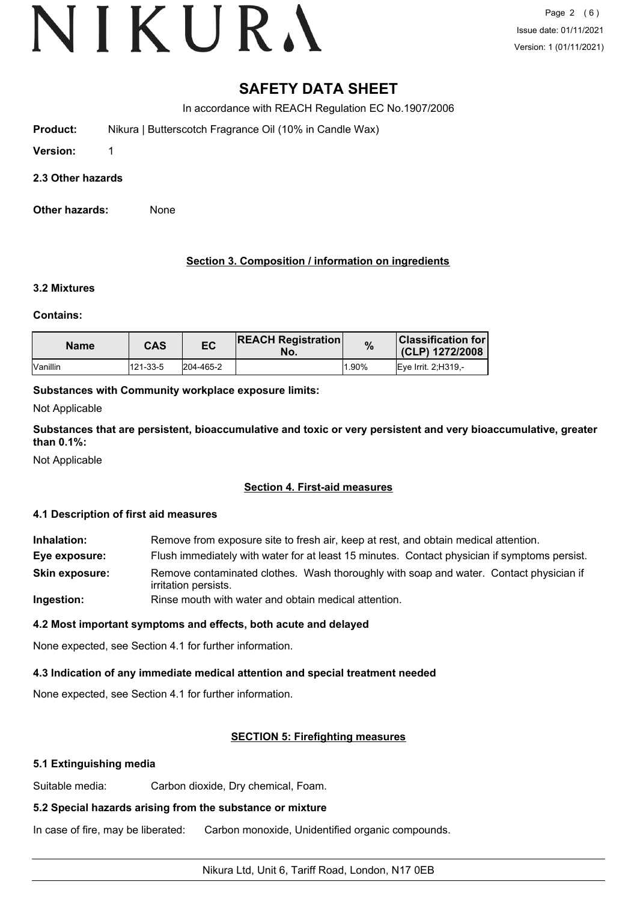# **SAFETY DATA SHEET**

In accordance with REACH Regulation EC No.1907/2006

**Product:** Nikura | Butterscotch Fragrance Oil (10% in Candle Wax)

**Version:** 1

## **2.3 Other hazards**

**Other hazards:** None

# **Section 3. Composition / information on ingredients**

## **3.2 Mixtures**

## **Contains:**

| <b>Name</b>       | <b>CAS</b> | ЕC        | <b>REACH Registration</b><br>No. | %     | <b>Classification for l</b><br>(CLP) 1272/2008 |
|-------------------|------------|-----------|----------------------------------|-------|------------------------------------------------|
| <b>I</b> Vanillin | 121-33-5   | 204-465-2 |                                  | 1.90% | Eve Irrit. 2:H319.-                            |

# **Substances with Community workplace exposure limits:**

Not Applicable

**Substances that are persistent, bioaccumulative and toxic or very persistent and very bioaccumulative, greater than 0.1%:**

Not Applicable

# **Section 4. First-aid measures**

## **4.1 Description of first aid measures**

**Inhalation:** Remove from exposure site to fresh air, keep at rest, and obtain medical attention. **Eye exposure:** Flush immediately with water for at least 15 minutes. Contact physician if symptoms persist. Remove contaminated clothes. Wash thoroughly with soap and water. Contact physician if irritation persists. **Skin exposure: Ingestion:** Rinse mouth with water and obtain medical attention.

# **4.2 Most important symptoms and effects, both acute and delayed**

None expected, see Section 4.1 for further information.

# **4.3 Indication of any immediate medical attention and special treatment needed**

None expected, see Section 4.1 for further information.

# **SECTION 5: Firefighting measures**

# **5.1 Extinguishing media**

Suitable media: Carbon dioxide, Dry chemical, Foam.

# **5.2 Special hazards arising from the substance or mixture**

In case of fire, may be liberated: Carbon monoxide, Unidentified organic compounds.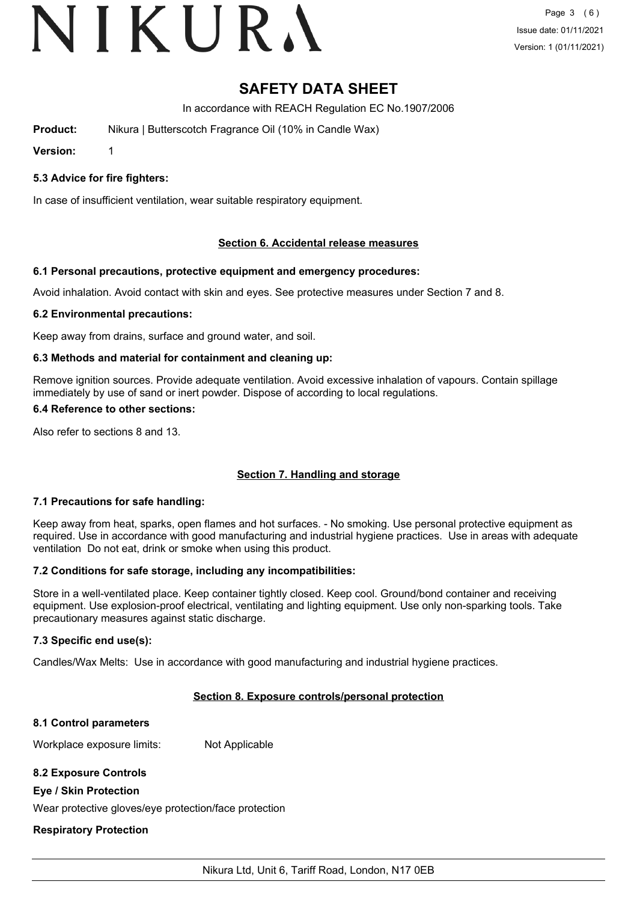# VIKURA

# **SAFETY DATA SHEET**

In accordance with REACH Regulation EC No.1907/2006

**Product:** Nikura | Butterscotch Fragrance Oil (10% in Candle Wax)

**Version:** 1

**5.3 Advice for fire fighters:**

In case of insufficient ventilation, wear suitable respiratory equipment.

# **Section 6. Accidental release measures**

# **6.1 Personal precautions, protective equipment and emergency procedures:**

Avoid inhalation. Avoid contact with skin and eyes. See protective measures under Section 7 and 8.

## **6.2 Environmental precautions:**

Keep away from drains, surface and ground water, and soil.

# **6.3 Methods and material for containment and cleaning up:**

Remove ignition sources. Provide adequate ventilation. Avoid excessive inhalation of vapours. Contain spillage immediately by use of sand or inert powder. Dispose of according to local regulations.

## **6.4 Reference to other sections:**

Also refer to sections 8 and 13.

# **Section 7. Handling and storage**

## **7.1 Precautions for safe handling:**

Keep away from heat, sparks, open flames and hot surfaces. - No smoking. Use personal protective equipment as required. Use in accordance with good manufacturing and industrial hygiene practices. Use in areas with adequate ventilation Do not eat, drink or smoke when using this product.

## **7.2 Conditions for safe storage, including any incompatibilities:**

Store in a well-ventilated place. Keep container tightly closed. Keep cool. Ground/bond container and receiving equipment. Use explosion-proof electrical, ventilating and lighting equipment. Use only non-sparking tools. Take precautionary measures against static discharge.

## **7.3 Specific end use(s):**

Candles/Wax Melts: Use in accordance with good manufacturing and industrial hygiene practices.

## **Section 8. Exposure controls/personal protection**

## **8.1 Control parameters**

Workplace exposure limits: Not Applicable

# **8.2 Exposure Controls**

# **Eye / Skin Protection**

Wear protective gloves/eye protection/face protection

# **Respiratory Protection**

Nikura Ltd, Unit 6, Tariff Road, London, N17 0EB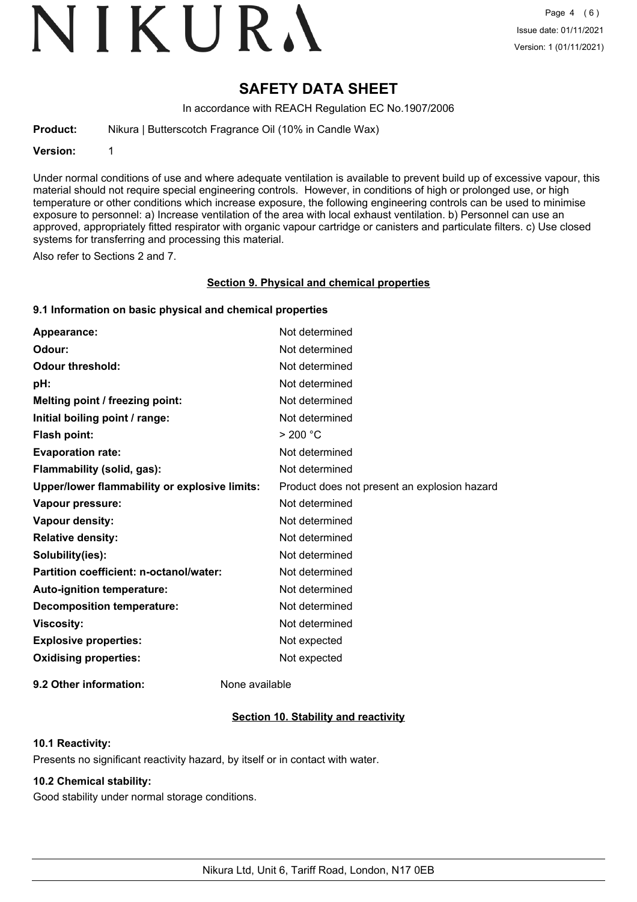# VIKURA

# **SAFETY DATA SHEET**

In accordance with REACH Regulation EC No.1907/2006

**Product:** Nikura | Butterscotch Fragrance Oil (10% in Candle Wax)

**Version:** 1

Under normal conditions of use and where adequate ventilation is available to prevent build up of excessive vapour, this material should not require special engineering controls. However, in conditions of high or prolonged use, or high temperature or other conditions which increase exposure, the following engineering controls can be used to minimise exposure to personnel: a) Increase ventilation of the area with local exhaust ventilation. b) Personnel can use an approved, appropriately fitted respirator with organic vapour cartridge or canisters and particulate filters. c) Use closed systems for transferring and processing this material.

Also refer to Sections 2 and 7.

### **Section 9. Physical and chemical properties**

## **9.1 Information on basic physical and chemical properties**

| Appearance:                                   | Not determined                               |
|-----------------------------------------------|----------------------------------------------|
| Odour:                                        | Not determined                               |
| <b>Odour threshold:</b>                       | Not determined                               |
| pH:                                           | Not determined                               |
| Melting point / freezing point:               | Not determined                               |
| Initial boiling point / range:                | Not determined                               |
| <b>Flash point:</b>                           | > 200 °C                                     |
| <b>Evaporation rate:</b>                      | Not determined                               |
| Flammability (solid, gas):                    | Not determined                               |
| Upper/lower flammability or explosive limits: | Product does not present an explosion hazard |
| Vapour pressure:                              | Not determined                               |
| Vapour density:                               | Not determined                               |
| <b>Relative density:</b>                      | Not determined                               |
| Solubility(ies):                              | Not determined                               |
| Partition coefficient: n-octanol/water:       | Not determined                               |
| Auto-ignition temperature:                    | Not determined                               |
| <b>Decomposition temperature:</b>             | Not determined                               |
| <b>Viscosity:</b>                             | Not determined                               |
| <b>Explosive properties:</b>                  | Not expected                                 |
| <b>Oxidising properties:</b>                  | Not expected                                 |
|                                               |                                              |

**9.2 Other information:** None available

# **Section 10. Stability and reactivity**

## **10.1 Reactivity:**

Presents no significant reactivity hazard, by itself or in contact with water.

## **10.2 Chemical stability:**

Good stability under normal storage conditions.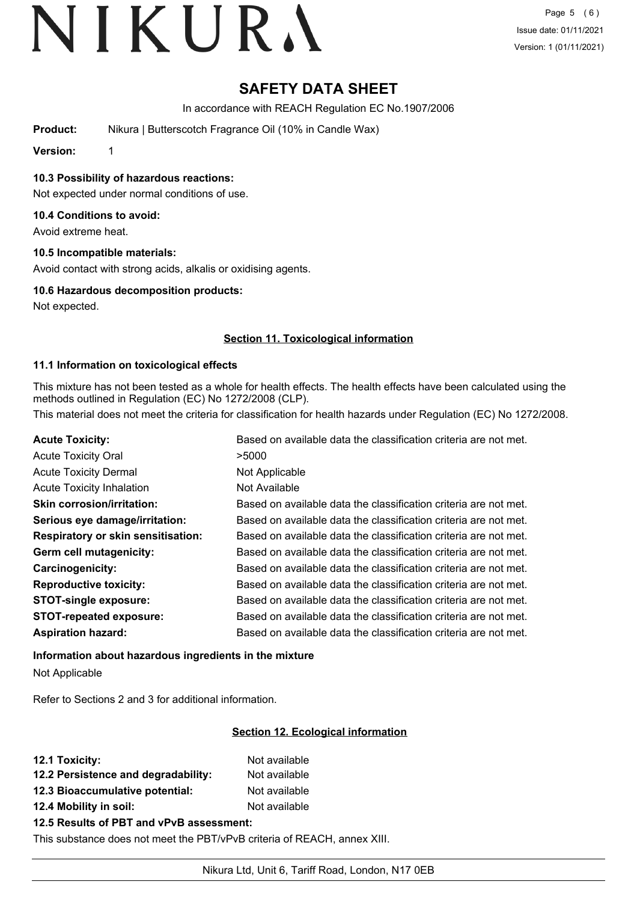# **SAFETY DATA SHEET**

In accordance with REACH Regulation EC No.1907/2006

**Product:** Nikura | Butterscotch Fragrance Oil (10% in Candle Wax)

**Version:** 1

**10.3 Possibility of hazardous reactions:**

Not expected under normal conditions of use.

# **10.4 Conditions to avoid:**

Avoid extreme heat.

# **10.5 Incompatible materials:**

Avoid contact with strong acids, alkalis or oxidising agents.

# **10.6 Hazardous decomposition products:**

Not expected.

# **Section 11. Toxicological information**

# **11.1 Information on toxicological effects**

This mixture has not been tested as a whole for health effects. The health effects have been calculated using the methods outlined in Regulation (EC) No 1272/2008 (CLP).

This material does not meet the criteria for classification for health hazards under Regulation (EC) No 1272/2008.

| <b>Acute Toxicity:</b>                    | Based on available data the classification criteria are not met. |
|-------------------------------------------|------------------------------------------------------------------|
| <b>Acute Toxicity Oral</b>                | >5000                                                            |
| <b>Acute Toxicity Dermal</b>              | Not Applicable                                                   |
| <b>Acute Toxicity Inhalation</b>          | Not Available                                                    |
| <b>Skin corrosion/irritation:</b>         | Based on available data the classification criteria are not met. |
| Serious eye damage/irritation:            | Based on available data the classification criteria are not met. |
| <b>Respiratory or skin sensitisation:</b> | Based on available data the classification criteria are not met. |
| Germ cell mutagenicity:                   | Based on available data the classification criteria are not met. |
| Carcinogenicity:                          | Based on available data the classification criteria are not met. |
| <b>Reproductive toxicity:</b>             | Based on available data the classification criteria are not met. |
| <b>STOT-single exposure:</b>              | Based on available data the classification criteria are not met. |
| <b>STOT-repeated exposure:</b>            | Based on available data the classification criteria are not met. |
| <b>Aspiration hazard:</b>                 | Based on available data the classification criteria are not met. |

**Information about hazardous ingredients in the mixture** Not Applicable

Refer to Sections 2 and 3 for additional information.

# **Section 12. Ecological information**

| 12.1 Toxicity:                                                                                                                                                                                                                                                                                                                                                            | Not available |
|---------------------------------------------------------------------------------------------------------------------------------------------------------------------------------------------------------------------------------------------------------------------------------------------------------------------------------------------------------------------------|---------------|
| 12.2 Persistence and degradability:                                                                                                                                                                                                                                                                                                                                       | Not available |
| 12.3 Bioaccumulative potential:                                                                                                                                                                                                                                                                                                                                           | Not available |
| 12.4 Mobility in soil:                                                                                                                                                                                                                                                                                                                                                    | Not available |
| $\overline{AB}$ = B $\overline{AB}$ = $\overline{AB}$ = $\overline{AB}$ = $\overline{AB}$ = $\overline{BA}$ = $\overline{BA}$ = $\overline{AB}$ = $\overline{AB}$ = $\overline{AB}$ = $\overline{AB}$ = $\overline{AB}$ = $\overline{AB}$ = $\overline{AB}$ = $\overline{AB}$ = $\overline{AB}$ = $\overline{AB}$ = $\overline{AB}$ = $\overline{AB}$ = $\overline{AB}$ = |               |

## **12.5 Results of PBT and vPvB assessment:**

This substance does not meet the PBT/vPvB criteria of REACH, annex XIII.